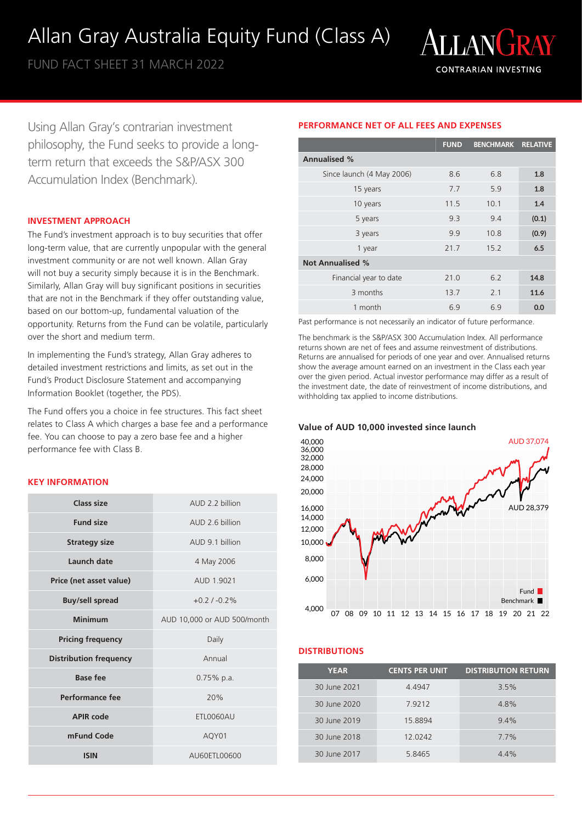## Allan Gray Australia Equity Fund (Class A)

FUND FACT SHEET 31 MARCH 2022



Using Allan Gray's contrarian investment philosophy, the Fund seeks to provide a longterm return that exceeds the S&P/ASX 300 Accumulation Index (Benchmark).

## **INVESTMENT APPROACH**

The Fund's investment approach is to buy securities that offer long-term value, that are currently unpopular with the general investment community or are not well known. Allan Gray will not buy a security simply because it is in the Benchmark. Similarly, Allan Gray will buy significant positions in securities that are not in the Benchmark if they offer outstanding value, based on our bottom-up, fundamental valuation of the opportunity. Returns from the Fund can be volatile, particularly over the short and medium term.

In implementing the Fund's strategy, Allan Gray adheres to detailed investment restrictions and limits, as set out in the Fund's Product Disclosure Statement and accompanying Information Booklet (together, the PDS).

The Fund offers you a choice in fee structures. This fact sheet relates to Class A which charges a base fee and a performance fee. You can choose to pay a zero base fee and a higher performance fee with Class B.

## **KEY INFORMATION**

| Class size                    | AUD 2 2 billion             |  |
|-------------------------------|-----------------------------|--|
| <b>Fund size</b>              | AUD 2 6 billion             |  |
| <b>Strategy size</b>          | AUD 9.1 billion             |  |
| Launch date                   | 4 May 2006                  |  |
| Price (net asset value)       | AUD 1.9021                  |  |
| <b>Buy/sell spread</b>        | $+0.21 - 0.2%$              |  |
| Minimum                       | AUD 10,000 or AUD 500/month |  |
| <b>Pricing frequency</b>      | Daily                       |  |
| <b>Distribution frequency</b> | Annual                      |  |
| Base fee                      | $0.75\%$ p.a.               |  |
| Performance fee               | 20%                         |  |
| <b>APIR code</b>              | ETL0060AU                   |  |
| mFund Code                    | AQY01                       |  |
| <b>ISIN</b>                   | AU60ETL00600                |  |

## **PERFORMANCE NET OF ALL FEES AND EXPENSES**

|                           | <b>FUND</b> | <b>BENCHMARK</b> | <b>RELATIVE</b> |
|---------------------------|-------------|------------------|-----------------|
| <b>Annualised %</b>       |             |                  |                 |
| Since launch (4 May 2006) | 8.6         | 6.8              | 1.8             |
| 15 years                  | 7.7         | 5.9              | 1.8             |
| 10 years                  | 11.5        | 10.1             | 1.4             |
| 5 years                   | 9.3         | 9.4              | (0.1)           |
| 3 years                   | 9.9         | 10.8             | (0.9)           |
| 1 year                    | 21.7        | 15.2             | 6.5             |
| <b>Not Annualised %</b>   |             |                  |                 |
| Financial year to date    | 21.0        | 6.2              | 14.8            |
| 3 months                  | 13.7        | 2.1              | 11.6            |
| 1 month                   | 6.9         | 6.9              | 0.0             |

Past performance is not necessarily an indicator of future performance.

The benchmark is the S&P/ASX 300 Accumulation Index. All performance returns shown are net of fees and assume reinvestment of distributions. Returns are annualised for periods of one year and over. Annualised returns show the average amount earned on an investment in the Class each year over the given period. Actual investor performance may differ as a result of the investment date, the date of reinvestment of income distributions, and withholding tax applied to income distributions.

**Value of AUD 10,000 invested since launch**



## **DISTRIBUTIONS**

| <b>YEAR</b>  | <b>CENTS PER UNIT</b> | <b>DISTRIBUTION RETURN</b> |
|--------------|-----------------------|----------------------------|
| 30 June 2021 | 4.4947                | 3.5%                       |
| 30 June 2020 | 7.9212                | 4.8%                       |
| 30 June 2019 | 15.8894               | 9.4%                       |
| 30 June 2018 | 12.0242               | $7.7\%$                    |
| 30 June 2017 | 5.8465                | 44%                        |